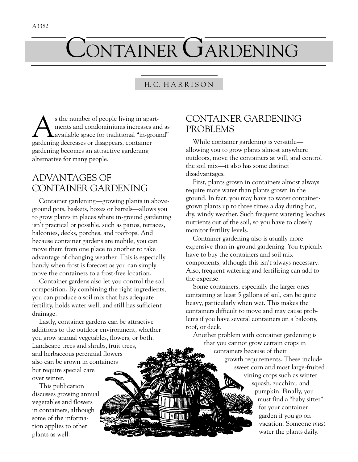# CONTAINER GARDENING

#### H. C. H A R R I S O N

s the number of people living in apart-<br>ments and condominiums increases an<br>available space for traditional "in-grou ments and condominiums increases and as available space for traditional "in-ground" gardening decreases or disappears, container gardening becomes an attractive gardening alternative for many people.

### ADVANTAGES OF CONTAINER GARDENING

Container gardening—growing plants in aboveground pots, baskets, boxes or barrels—allows you to grow plants in places where in-ground gardening isn't practical or possible, such as patios, terraces, balconies, decks, porches, and rooftops. And because container gardens are mobile, you can move them from one place to another to take advantage of changing weather. This is especially handy when frost is forecast as you can simply move the containers to a frost-free location.

Container gardens also let you control the soil composition. By combining the right ingredients, you can produce a soil mix that has adequate fertility, holds water well, and still has sufficient drainage.

Lastly, container gardens can be attractive additions to the outdoor environment, whether you grow annual vegetables, flowers, or both. Landscape trees and shrubs, fruit trees, and herbaceous perennial flowers also can be grown in containers but require special care over winter.

This publication discusses growing annual vegetables and flowers in containers, although some of the information applies to other plants as well.

### CONTAINER GARDENING PROBLEMS

While container gardening is versatile allowing you to grow plants almost anywhere outdoors, move the containers at will, and control the soil mix—it also has some distinct disadvantages.

First, plants grown in containers almost always require more water than plants grown in the ground. In fact, you may have to water containergrown plants up to three times a day during hot, dry, windy weather. Such frequent watering leaches nutrients out of the soil, so you have to closely monitor fertility levels.

Container gardening also is usually more expensive than in-ground gardening. You typically have to buy the containers and soil mix components, although this isn't always necessary. Also, frequent watering and fertilizing can add to the expense.

Some containers, especially the larger ones containing at least 5 gallons of soil, can be quite heavy, particularly when wet. This makes the containers difficult to move and may cause problems if you have several containers on a balcony, roof, or deck.

Another problem with container gardening is that you cannot grow certain crops in

containers because of their growth requirements. These include sweet corn and most large-fruited vining crops such as winter squash, zucchini, and pumpkin. Finally, you must find a "baby sitter" for your container garden if you go on vacation. Someone *must* water the plants daily.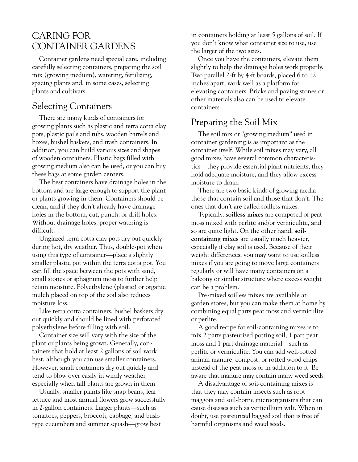#### CARING FOR CONTAINER GARDENS

Container gardens need special care, including carefully selecting containers, preparing the soil mix (growing medium), watering, fertilizing, spacing plants and, in some cases, selecting plants and cultivars.

#### Selecting Containers

There are many kinds of containers for growing plants such as plastic and terra cotta clay pots, plastic pails and tubs, wooden barrels and boxes, bushel baskets, and trash containers. In addition, you can build various sizes and shapes of wooden containers. Plastic bags filled with growing medium also can be used, or you can buy these bags at some garden centers.

The best containers have drainage holes in the bottom and are large enough to support the plant or plants growing in them. Containers should be clean, and if they don't already have drainage holes in the bottom, cut, punch, or drill holes. Without drainage holes, proper watering is difficult.

Unglazed terra cotta clay pots dry out quickly during hot, dry weather. Thus, double-pot when using this type of container—place a slightly smaller plastic pot within the terra cotta pot. You can fill the space between the pots with sand, small stones or sphagnum moss to further help retain moisture. Polyethylene (plastic) or organic mulch placed on top of the soil also reduces moisture loss.

Like terra cotta containers, bushel baskets dry out quickly and should be lined with perforated polyethylene before filling with soil.

Container size will vary with the size of the plant or plants being grown. Generally, containers that hold at least 2 gallons of soil work best, although you can use smaller containers. However, small containers dry out quickly and tend to blow over easily in windy weather, especially when tall plants are grown in them.

Usually, smaller plants like snap beans, leaf lettuce and most annual flowers grow successfully in 2-gallon containers. Larger plants—such as tomatoes, peppers, broccoli, cabbage, and bushtype cucumbers and summer squash—grow best

in containers holding at least 5 gallons of soil. If you don't know what container size to use, use the larger of the two sizes.

Once you have the containers, elevate them slightly to help the drainage holes work properly. Two parallel 2-ft by 4-ft boards, placed 6 to 12 inches apart, work well as a platform for elevating containers. Bricks and paving stones or other materials also can be used to elevate containers.

#### Preparing the Soil Mix

The soil mix or "growing medium" used in container gardening is as important as the container itself. While soil mixes may vary, all good mixes have several common characteristics—they provide essential plant nutrients, they hold adequate moisture, and they allow excess moisture to drain.

There are two basic kinds of growing media those that contain soil and those that don't. The ones that don't are called soilless mixes.

Typically, **soilless mixes** are composed of peat moss mixed with perlite and/or vermiculite, and so are quite light. On the other hand, **soilcontaining mixes** are usually much heavier, especially if clay soil is used. Because of their weight differences, you may want to use soilless mixes if you are going to move large containers regularly or will have many containers on a balcony or similar structure where excess weight can be a problem.

Pre-mixed soilless mixes are available at garden stores, but you can make them at home by combining equal parts peat moss and vermiculite or perlite.

A good recipe for soil-containing mixes is to mix 2 parts pasteurized potting soil, 1 part peat moss and 1 part drainage material—such as perlite or vermiculite. You can add well-rotted animal manure, compost, or rotted wood chips instead of the peat moss or in addition to it. Be aware that manure may contain many weed seeds.

A disadvantage of soil-containing mixes is that they may contain insects such as root maggots and soil-borne microorganisms that can cause diseases such as verticillium wilt. When in doubt, use pasteurized bagged soil that is free of harmful organisms and weed seeds.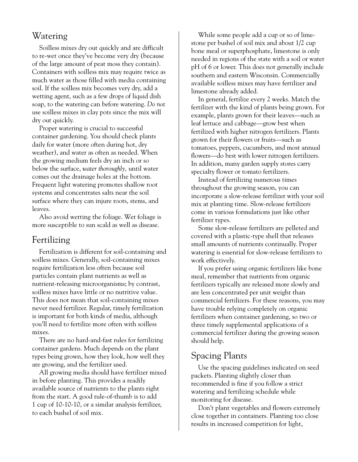#### Watering

Soilless mixes dry out quickly and are difficult to re-wet once they've become very dry (because of the large amount of peat moss they contain). Containers with soilless mix may require twice as much water as those filled with media containing soil. If the soilless mix becomes very dry, add a wetting agent, such as a few drops of liquid dish soap, to the watering can before watering. *Do not* use soilless mixes in clay pots since the mix will dry out quickly.

Proper watering is crucial to successful container gardening. You should check plants daily for water (more often during hot, dry weather), and water as often as needed. When the growing medium feels dry an inch or so below the surface, *water thoroughly,* until water comes out the drainage holes at the bottom. Frequent light watering promotes shallow root systems and concentrates salts near the soil surface where they can injure roots, stems, and leaves.

Also avoid wetting the foliage. Wet foliage is more susceptible to sun scald as well as disease.

#### Fertilizing

Fertilization is different for soil-containing and soilless mixes. Generally, soil-containing mixes require fertilization less often because soil particles contain plant nutrients as well as nutrient-releasing microorganisms; by contrast, soilless mixes have little or no nutritive value. This does not mean that soil-containing mixes never need fertilizer. Regular, timely fertilization is important for both kinds of media, although you'll need to fertilize more often with soilless mixes.

There are no hard-and-fast rules for fertilizing container gardens. Much depends on the plant types being grown, how they look, how well they are growing, and the fertilizer used.

All growing media should have fertilizer mixed in before planting. This provides a readily available source of nutrients to the plants right from the start. A good rule-of-thumb is to add 1 cup of 10-10-10, or a similar analysis fertilizer, to each bushel of soil mix.

While some people add a cup or so of limestone per bushel of soil mix and about 1/2 cup bone meal or superphosphate, limestone is only needed in regions of the state with a soil or water pH of 6 or lower. This does not generally include southern and eastern Wisconsin. Commercially available soilless mixes may have fertilizer and limestone already added.

In general, fertilize every 2 weeks. Match the fertilizer with the kind of plants being grown. For example, plants grown for their leaves—such as leaf lettuce and cabbage—grow best when fertilized with higher nitrogen fertilizers. Plants grown for their flowers or fruits—such as tomatoes, peppers, cucumbers, and most annual flowers—do best with lower nitrogen fertilizers. In addition, many garden supply stores carry specialty flower or tomato fertilizers.

Instead of fertilizing numerous times throughout the growing season, you can incorporate a slow-release fertilizer with your soil mix at planting time. Slow-release fertilizers come in various formulations just like other fertilizer types.

Some slow-release fertilizers are pelleted and covered with a plastic-type shell that releases small amounts of nutrients continually. Proper watering is essential for slow-release fertilizers to work effectively.

If you prefer using organic fertilizers like bone meal, remember that nutrients from organic fertilizers typically are released more slowly and are less concentrated per unit weight than commercial fertilizers. For these reasons, you may have trouble relying completely on organic fertilizers when container gardening, so two or three timely supplemental applications of a commercial fertilizer during the growing season should help.

#### Spacing Plants

Use the spacing guidelines indicated on seed packets. Planting slightly closer than recommended is fine if you follow a strict watering and fertilizing schedule while monitoring for disease.

Don't plant vegetables and flowers extremely close together in containers. Planting too close results in increased competition for light,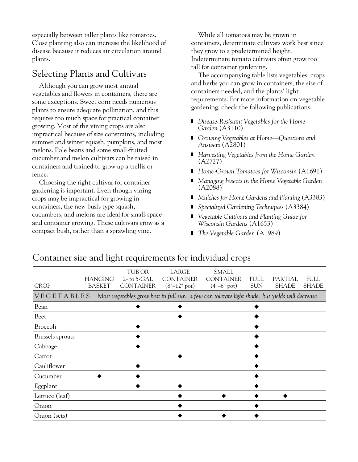especially between taller plants like tomatoes. Close planting also can increase the likelihood of disease because it reduces air circulation around plants.

### Selecting Plants and Cultivars

Although you can grow most annual vegetables and flowers in containers, there are some exceptions. Sweet corn needs numerous plants to ensure adequate pollination, and this requires too much space for practical container growing. Most of the vining crops are also impractical because of size constraints, including summer and winter squash, pumpkins, and most melons. Pole beans and some small-fruited cucumber and melon cultivars can be raised in containers and trained to grow up a trellis or fence.

Choosing the right cultivar for container gardening is important. Even though vining crops may be impractical for growing in containers, the new bush-type squash, cucumbers, and melons are ideal for small-space and container growing. These cultivars grow as a compact bush, rather than a sprawling vine.

While all tomatoes may be grown in containers, determinate cultivars work best since they grow to a predetermined height. Indeterminate tomato cultivars often grow too tall for container gardening.

The accompanying table lists vegetables, crops and herbs you can grow in containers, the size of containers needed, and the plants' light requirements. For more information on vegetable gardening, check the following publications:

- *Disease-Resistant Vegetables for the Home Garden* (A3110)
- *Growing Vegetables at Home—Questions and Answers* (A2801)
- *Harvesting Vegetables from the Home Garden* (A2727)
- ❚ *Home-Grown Tomatoes for Wisconsin* (A1691)
- *Managing Insects in the Home Vegetable Garden* (A2088)
- *Mulches for Home Gardens and Planting (A3383)*
- *Specialized Gardening Techniques* (A3384)
- *Vegetable Cultivars and Planting Guide for Wisconsin Gardens* (A1653)
- *The Vegetable Garden* (A1989)

| <b>CROP</b>      | <b>HANGING</b><br><b>BASKET</b> | TUB OR<br>$2-$ to 5-GAL<br><b>CONTAINER</b> | LARGE<br><b>CONTAINER</b><br>$(8" - 12"$ pot) | <b>SMALL</b><br><b>CONTAINER</b><br>$(4" - 6"$ pot) | <b>FULL</b><br><b>SUN</b> | PARTIAL<br><b>SHADE</b>                                                                          | <b>FULL</b><br><b>SHADE</b> |
|------------------|---------------------------------|---------------------------------------------|-----------------------------------------------|-----------------------------------------------------|---------------------------|--------------------------------------------------------------------------------------------------|-----------------------------|
| VEGETABLES       |                                 |                                             |                                               |                                                     |                           | Most vegetables grow best in full sun; a few can tolerate light shade, but yields will decrease. |                             |
| Bean             |                                 |                                             |                                               |                                                     |                           |                                                                                                  |                             |
| Beet             |                                 |                                             |                                               |                                                     |                           |                                                                                                  |                             |
| Broccoli         |                                 |                                             |                                               |                                                     |                           |                                                                                                  |                             |
| Brussels sprouts |                                 |                                             |                                               |                                                     |                           |                                                                                                  |                             |
| Cabbage          |                                 |                                             |                                               |                                                     |                           |                                                                                                  |                             |
| Carrot           |                                 |                                             |                                               |                                                     |                           |                                                                                                  |                             |
| Cauliflower      |                                 |                                             |                                               |                                                     |                           |                                                                                                  |                             |
| Cucumber         |                                 |                                             |                                               |                                                     |                           |                                                                                                  |                             |
| Eggplant         |                                 |                                             |                                               |                                                     |                           |                                                                                                  |                             |
| Lettuce (leaf)   |                                 |                                             |                                               |                                                     |                           |                                                                                                  |                             |
| Onion            |                                 |                                             |                                               |                                                     |                           |                                                                                                  |                             |
| Onion (sets)     |                                 |                                             |                                               |                                                     |                           |                                                                                                  |                             |

#### Container size and light requirements for individual crops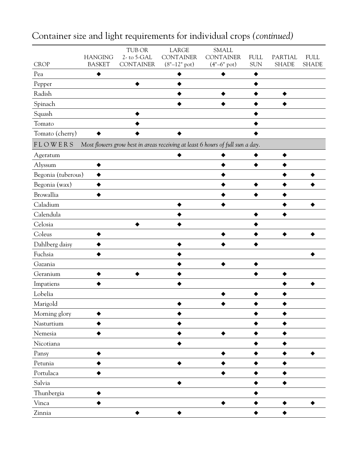| <b>CROP</b>        | <b>HANGING</b><br><b>BASKET</b> | TUB OR<br>2-to 5-GAL<br><b>CONTAINER</b> | LARGE<br><b>CONTAINER</b><br>$(8" - 12"$ pot) | <b>SMALL</b><br><b>CONTAINER</b><br>$(4" - 6"$ pot)                           | <b>FULL</b><br><b>SUN</b> | PARTIAL<br><b>SHADE</b> | <b>FULL</b><br><b>SHADE</b> |
|--------------------|---------------------------------|------------------------------------------|-----------------------------------------------|-------------------------------------------------------------------------------|---------------------------|-------------------------|-----------------------------|
| Pea                |                                 |                                          |                                               |                                                                               |                           |                         |                             |
| Pepper             |                                 |                                          |                                               |                                                                               |                           |                         |                             |
| Radish             |                                 |                                          |                                               |                                                                               |                           |                         |                             |
| Spinach            |                                 |                                          |                                               |                                                                               |                           |                         |                             |
| Squash             |                                 |                                          |                                               |                                                                               |                           |                         |                             |
| Tomato             |                                 |                                          |                                               |                                                                               |                           |                         |                             |
| Tomato (cherry)    |                                 |                                          |                                               |                                                                               |                           |                         |                             |
| <b>FLOWERS</b>     |                                 |                                          |                                               | Most flowers grow best in areas receiving at least 6 hours of full sun a day. |                           |                         |                             |
| Ageratum           |                                 |                                          |                                               |                                                                               |                           |                         |                             |
| Alyssum            |                                 |                                          |                                               |                                                                               |                           |                         |                             |
| Begonia (tuberous) |                                 |                                          |                                               |                                                                               |                           |                         |                             |
| Begonia (wax)      |                                 |                                          |                                               |                                                                               |                           |                         |                             |
| Browallia          |                                 |                                          |                                               |                                                                               |                           |                         |                             |
| Caladium           |                                 |                                          |                                               |                                                                               |                           |                         |                             |
| Calendula          |                                 |                                          |                                               |                                                                               |                           |                         |                             |
| Celosia            |                                 |                                          |                                               |                                                                               |                           |                         |                             |
| Coleus             |                                 |                                          |                                               |                                                                               |                           |                         |                             |
| Dahlberg daisy     |                                 |                                          |                                               |                                                                               |                           |                         |                             |
| Fuchsia            |                                 |                                          |                                               |                                                                               |                           |                         |                             |
| Gazania            |                                 |                                          |                                               |                                                                               |                           |                         |                             |
| Geranium           |                                 |                                          |                                               |                                                                               |                           |                         |                             |
| Impatiens          |                                 |                                          |                                               |                                                                               |                           |                         |                             |
| Lobelia            |                                 |                                          |                                               |                                                                               |                           |                         |                             |
| Marigold           |                                 |                                          |                                               |                                                                               |                           |                         |                             |
| Morning glory      |                                 |                                          |                                               |                                                                               |                           |                         |                             |
| Nasturtium         |                                 |                                          |                                               |                                                                               |                           |                         |                             |
| Nemesia            |                                 |                                          |                                               |                                                                               |                           |                         |                             |
| Nicotiana          |                                 |                                          |                                               |                                                                               |                           |                         |                             |
| Pansy              |                                 |                                          |                                               |                                                                               |                           |                         |                             |
| Petunia            |                                 |                                          |                                               |                                                                               |                           |                         |                             |
| Portulaca          |                                 |                                          |                                               |                                                                               |                           |                         |                             |
| Salvia             |                                 |                                          |                                               |                                                                               |                           |                         |                             |
| Thunbergia         |                                 |                                          |                                               |                                                                               |                           |                         |                             |
| Vinca              |                                 |                                          |                                               |                                                                               |                           |                         |                             |
| Zinnia             |                                 |                                          |                                               |                                                                               |                           |                         |                             |

## Container size and light requirements for individual crops *(continued)*